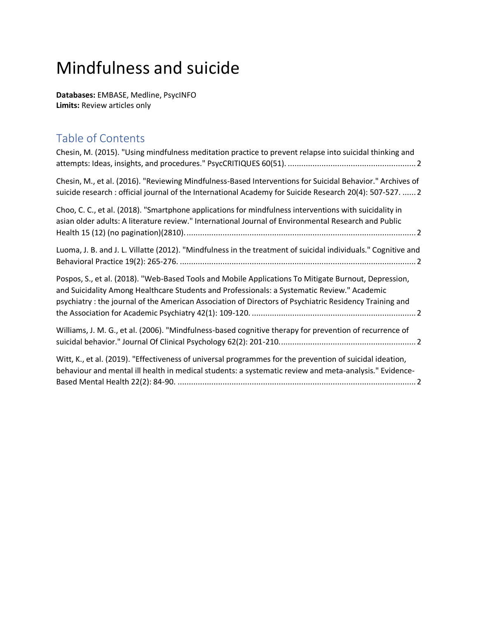## Mindfulness and suicide

**Databases:** EMBASE, Medline, PsycINFO **Limits:** Review articles only

## Table of Contents

<span id="page-0-0"></span>

| Chesin, M. (2015). "Using mindfulness meditation practice to prevent relapse into suicidal thinking and                                                                                                                                                                                                       |  |
|---------------------------------------------------------------------------------------------------------------------------------------------------------------------------------------------------------------------------------------------------------------------------------------------------------------|--|
| Chesin, M., et al. (2016). "Reviewing Mindfulness-Based Interventions for Suicidal Behavior." Archives of<br>suicide research : official journal of the International Academy for Suicide Research 20(4): 507-527.  2                                                                                         |  |
| Choo, C. C., et al. (2018). "Smartphone applications for mindfulness interventions with suicidality in<br>asian older adults: A literature review." International Journal of Environmental Research and Public                                                                                                |  |
| Luoma, J. B. and J. L. Villatte (2012). "Mindfulness in the treatment of suicidal individuals." Cognitive and                                                                                                                                                                                                 |  |
| Pospos, S., et al. (2018). "Web-Based Tools and Mobile Applications To Mitigate Burnout, Depression,<br>and Suicidality Among Healthcare Students and Professionals: a Systematic Review." Academic<br>psychiatry: the journal of the American Association of Directors of Psychiatric Residency Training and |  |
| Williams, J. M. G., et al. (2006). "Mindfulness-based cognitive therapy for prevention of recurrence of                                                                                                                                                                                                       |  |
| Witt, K., et al. (2019). "Effectiveness of universal programmes for the prevention of suicidal ideation,<br>behaviour and mental ill health in medical students: a systematic review and meta-analysis." Evidence-                                                                                            |  |